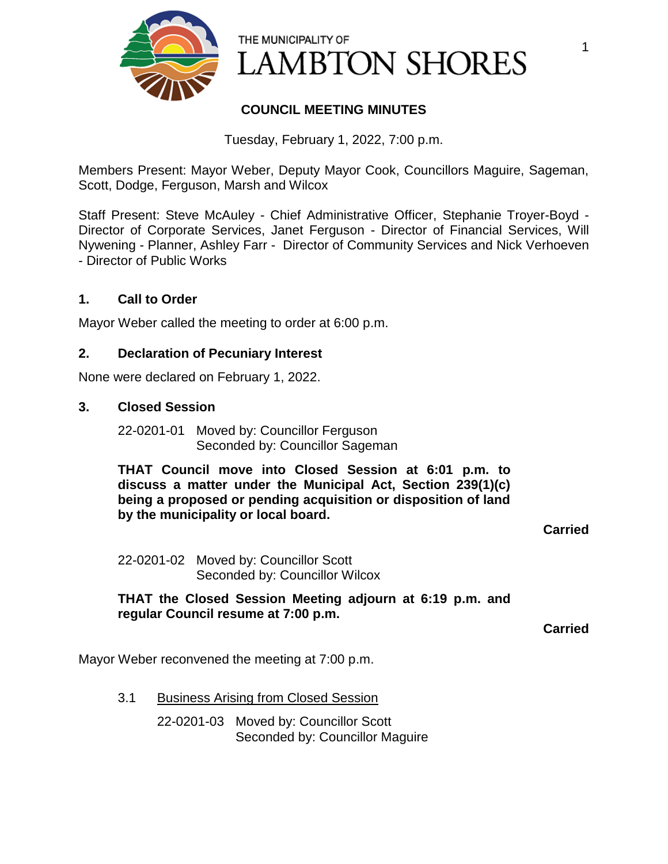

# **COUNCIL MEETING MINUTES**

Tuesday, February 1, 2022, 7:00 p.m.

Members Present: Mayor Weber, Deputy Mayor Cook, Councillors Maguire, Sageman, Scott, Dodge, Ferguson, Marsh and Wilcox

Staff Present: Steve McAuley - Chief Administrative Officer, Stephanie Troyer-Boyd - Director of Corporate Services, Janet Ferguson - Director of Financial Services, Will Nywening - Planner, Ashley Farr - Director of Community Services and Nick Verhoeven - Director of Public Works

# **1. Call to Order**

Mayor Weber called the meeting to order at 6:00 p.m.

### **2. Declaration of Pecuniary Interest**

None were declared on February 1, 2022.

#### **3. Closed Session**

22-0201-01 Moved by: Councillor Ferguson Seconded by: Councillor Sageman

**THAT Council move into Closed Session at 6:01 p.m. to discuss a matter under the Municipal Act, Section 239(1)(c) being a proposed or pending acquisition or disposition of land by the municipality or local board.**

**Carried**

1

22-0201-02 Moved by: Councillor Scott Seconded by: Councillor Wilcox

**THAT the Closed Session Meeting adjourn at 6:19 p.m. and regular Council resume at 7:00 p.m.**

**Carried**

Mayor Weber reconvened the meeting at 7:00 p.m.

3.1 Business Arising from Closed Session

22-0201-03 Moved by: Councillor Scott Seconded by: Councillor Maguire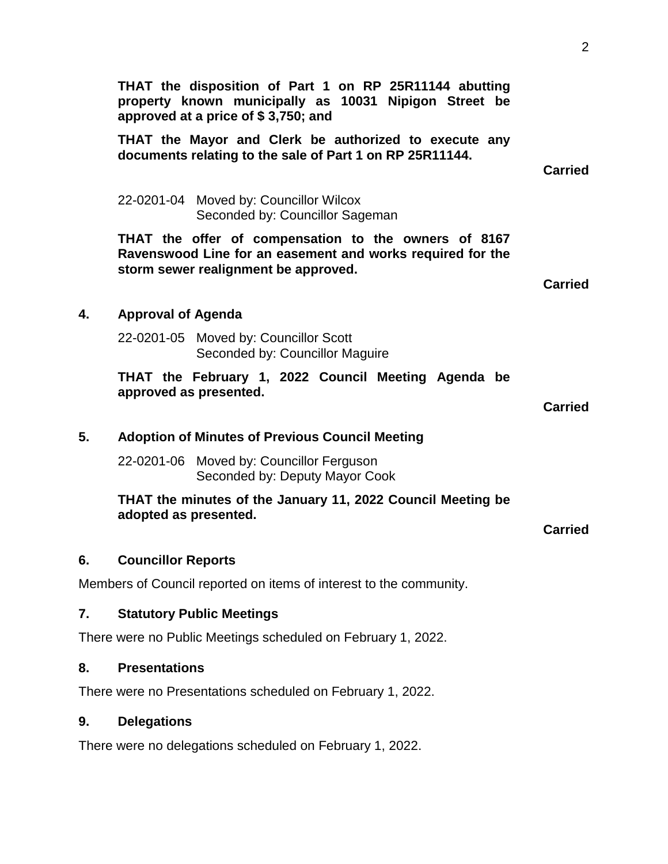**THAT the disposition of Part 1 on RP 25R11144 abutting property known municipally as 10031 Nipigon Street be approved at a price of \$ 3,750; and THAT the Mayor and Clerk be authorized to execute any documents relating to the sale of Part 1 on RP 25R11144. Carried** 22-0201-04 Moved by: Councillor Wilcox Seconded by: Councillor Sageman **THAT the offer of compensation to the owners of 8167 Ravenswood Line for an easement and works required for the storm sewer realignment be approved. Carried 4. Approval of Agenda** 22-0201-05 Moved by: Councillor Scott Seconded by: Councillor Maguire **THAT the February 1, 2022 Council Meeting Agenda be approved as presented. Carried 5. Adoption of Minutes of Previous Council Meeting** 22-0201-06 Moved by: Councillor Ferguson Seconded by: Deputy Mayor Cook **THAT the minutes of the January 11, 2022 Council Meeting be adopted as presented. Carried 6. Councillor Reports** Members of Council reported on items of interest to the community. **7. Statutory Public Meetings** There were no Public Meetings scheduled on February 1, 2022. **8. Presentations** There were no Presentations scheduled on February 1, 2022.

# **9. Delegations**

There were no delegations scheduled on February 1, 2022.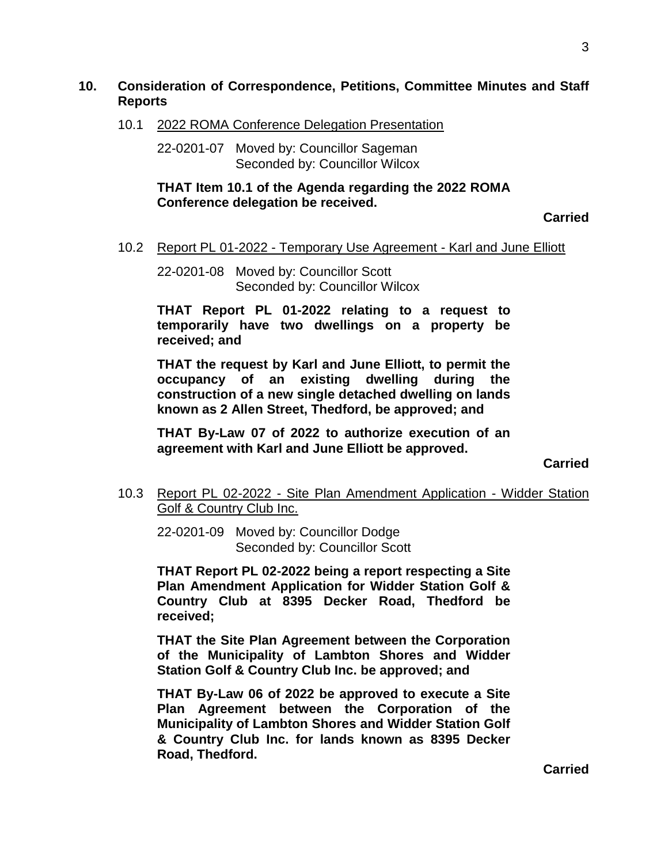#### **10. Consideration of Correspondence, Petitions, Committee Minutes and Staff Reports**

10.1 2022 ROMA Conference Delegation Presentation

22-0201-07 Moved by: Councillor Sageman Seconded by: Councillor Wilcox

**THAT Item 10.1 of the Agenda regarding the 2022 ROMA Conference delegation be received.**

**Carried**

#### 10.2 Report PL 01-2022 - Temporary Use Agreement - Karl and June Elliott

22-0201-08 Moved by: Councillor Scott Seconded by: Councillor Wilcox

**THAT Report PL 01-2022 relating to a request to temporarily have two dwellings on a property be received; and** 

**THAT the request by Karl and June Elliott, to permit the occupancy of an existing dwelling during the construction of a new single detached dwelling on lands known as 2 Allen Street, Thedford, be approved; and**

**THAT By-Law 07 of 2022 to authorize execution of an agreement with Karl and June Elliott be approved.**

**Carried**

10.3 Report PL 02-2022 - Site Plan Amendment Application - Widder Station Golf & Country Club Inc.

22-0201-09 Moved by: Councillor Dodge Seconded by: Councillor Scott

**THAT Report PL 02-2022 being a report respecting a Site Plan Amendment Application for Widder Station Golf & Country Club at 8395 Decker Road, Thedford be received;** 

**THAT the Site Plan Agreement between the Corporation of the Municipality of Lambton Shores and Widder Station Golf & Country Club Inc. be approved; and**

**THAT By-Law 06 of 2022 be approved to execute a Site Plan Agreement between the Corporation of the Municipality of Lambton Shores and Widder Station Golf & Country Club Inc. for lands known as 8395 Decker Road, Thedford.**

**Carried**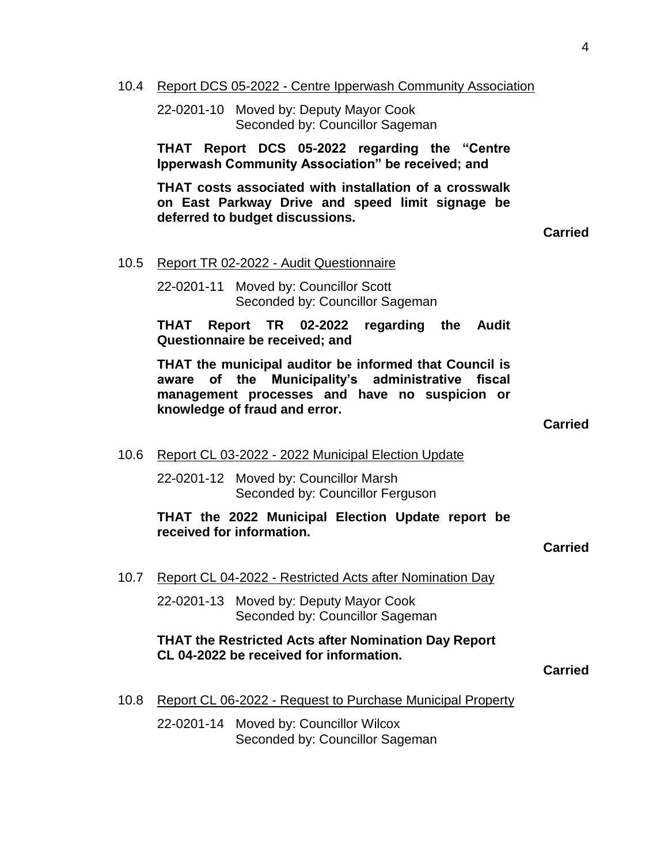10.4 Report DCS 05-2022 - Centre Ipperwash Community Association

22-0201-10 Moved by: Deputy Mayor Cook Seconded by: Councillor Sageman

**THAT Report DCS 05-2022 regarding the "Centre Ipperwash Community Association" be received; and** 

**THAT costs associated with installation of a crosswalk on East Parkway Drive and speed limit signage be deferred to budget discussions.** 

**Carried**

10.5 Report TR 02-2022 - Audit Questionnaire

22-0201-11 Moved by: Councillor Scott Seconded by: Councillor Sageman

**THAT Report TR 02-2022 regarding the Audit Questionnaire be received; and**

**THAT the municipal auditor be informed that Council is aware of the Municipality's administrative fiscal management processes and have no suspicion or knowledge of fraud and error.**

**Carried**

10.6 Report CL 03-2022 - 2022 Municipal Election Update

22-0201-12 Moved by: Councillor Marsh Seconded by: Councillor Ferguson

**THAT the 2022 Municipal Election Update report be received for information.**

**Carried**

10.7 Report CL 04-2022 - Restricted Acts after Nomination Day

22-0201-13 Moved by: Deputy Mayor Cook Seconded by: Councillor Sageman

#### **THAT the Restricted Acts after Nomination Day Report CL 04-2022 be received for information.**

**Carried**

10.8 Report CL 06-2022 - Request to Purchase Municipal Property

22-0201-14 Moved by: Councillor Wilcox Seconded by: Councillor Sageman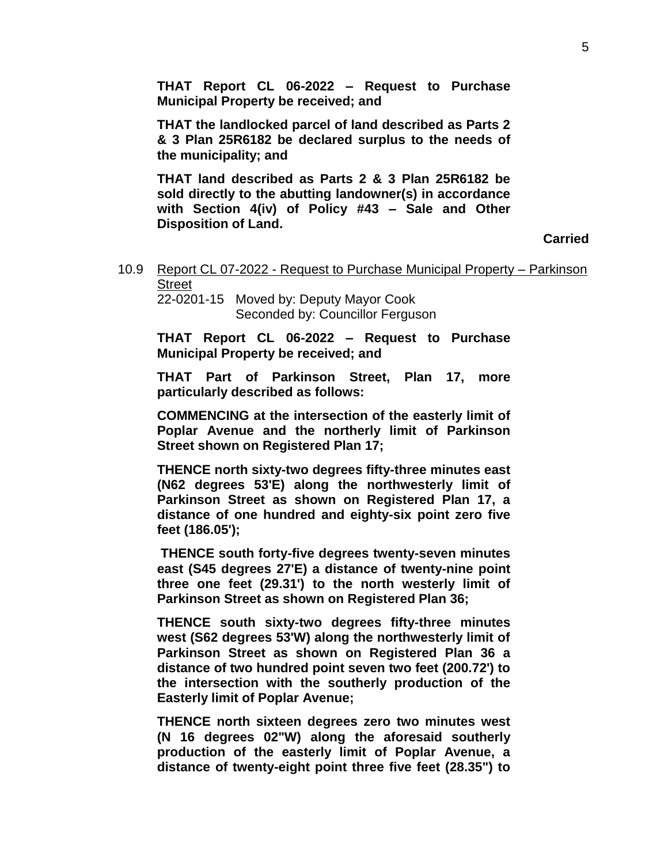**THAT Report CL 06-2022 – Request to Purchase Municipal Property be received; and**

**THAT the landlocked parcel of land described as Parts 2 & 3 Plan 25R6182 be declared surplus to the needs of the municipality; and**

**THAT land described as Parts 2 & 3 Plan 25R6182 be sold directly to the abutting landowner(s) in accordance with Section 4(iv) of Policy #43 – Sale and Other Disposition of Land.**

**Carried**

10.9 Report CL 07-2022 - Request to Purchase Municipal Property – Parkinson **Street** 22-0201-15 Moved by: Deputy Mayor Cook

Seconded by: Councillor Ferguson

**THAT Report CL 06-2022 – Request to Purchase Municipal Property be received; and** 

**THAT Part of Parkinson Street, Plan 17, more particularly described as follows:**

**COMMENCING at the intersection of the easterly limit of Poplar Avenue and the northerly limit of Parkinson Street shown on Registered Plan 17;**

**THENCE north sixty-two degrees fifty-three minutes east (N62 degrees 53'E) along the northwesterly limit of Parkinson Street as shown on Registered Plan 17, a distance of one hundred and eighty-six point zero five feet (186.05');**

**THENCE south forty-five degrees twenty-seven minutes east (S45 degrees 27'E) a distance of twenty-nine point three one feet (29.31') to the north westerly limit of Parkinson Street as shown on Registered Plan 36;**

**THENCE south sixty-two degrees fifty-three minutes west (S62 degrees 53'W) along the northwesterly limit of Parkinson Street as shown on Registered Plan 36 a distance of two hundred point seven two feet (200.72') to the intersection with the southerly production of the Easterly limit of Poplar Avenue;**

**THENCE north sixteen degrees zero two minutes west (N 16 degrees 02"W) along the aforesaid southerly production of the easterly limit of Poplar Avenue, a distance of twenty-eight point three five feet (28.35") to**